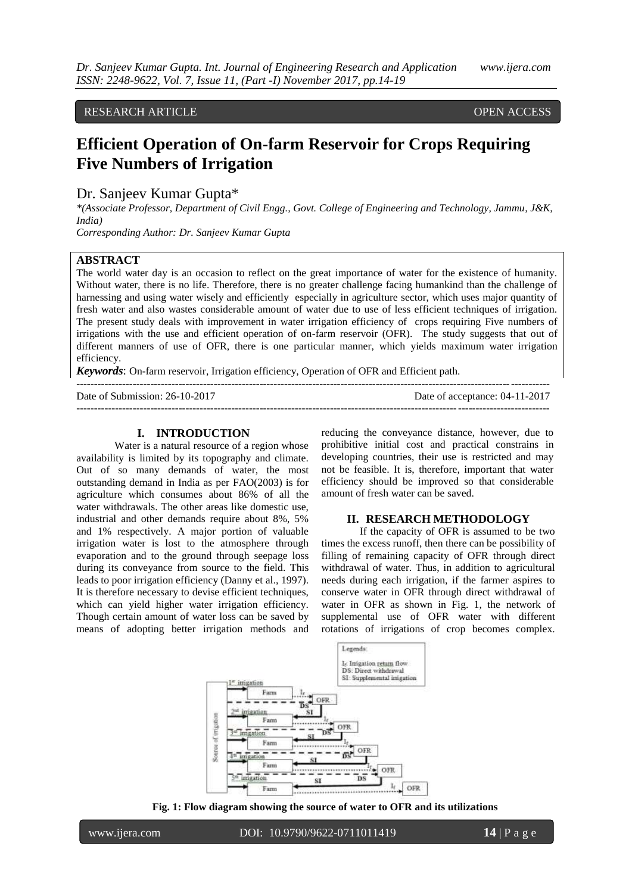## RESEARCH ARTICLE **CONTRACT ARTICLE** AND A SERVICE OPEN ACCESS OF A SERVICE OF A SERVICE OF A SERVICE OF A SERVICE OF A SERVICE OF A SERVICE OF A SERVICE OF A SERVICE OF A SERVICE OF A SERVICE OF A SERVICE OF A SERVICE OF A

# **Efficient Operation of On-farm Reservoir for Crops Requiring Five Numbers of Irrigation**

# Dr. Sanjeev Kumar Gupta\*

*\*(Associate Professor, Department of Civil Engg., Govt. College of Engineering and Technology, Jammu, J&K, India)*

*Corresponding Author: Dr. Sanjeev Kumar Gupta*

## **ABSTRACT**

The world water day is an occasion to reflect on the great importance of water for the existence of humanity. Without water, there is no life. Therefore, there is no greater challenge facing humankind than the challenge of harnessing and using water wisely and efficiently especially in agriculture sector, which uses major quantity of fresh water and also wastes considerable amount of water due to use of less efficient techniques of irrigation. The present study deals with improvement in water irrigation efficiency of crops requiring Five numbers of irrigations with the use and efficient operation of on-farm reservoir (OFR).The study suggests that out of different manners of use of OFR, there is one particular manner, which yields maximum water irrigation efficiency.

*Keywords*: On-farm reservoir, Irrigation efficiency, Operation of OFR and Efficient path.

| Date of Submission: 26-10-2017 | Date of acceptance: 04-11-2017 |
|--------------------------------|--------------------------------|
|                                |                                |

#### **I. INTRODUCTION**

Water is a natural resource of a region whose availability is limited by its topography and climate. Out of so many demands of water, the most outstanding demand in India as per FAO(2003) is for agriculture which consumes about 86% of all the water withdrawals. The other areas like domestic use, industrial and other demands require about 8%, 5% and 1% respectively. A major portion of valuable irrigation water is lost to the atmosphere through evaporation and to the ground through seepage loss during its conveyance from source to the field. This leads to poor irrigation efficiency (Danny et al., 1997). It is therefore necessary to devise efficient techniques, which can yield higher water irrigation efficiency. Though certain amount of water loss can be saved by means of adopting better irrigation methods and reducing the conveyance distance, however, due to prohibitive initial cost and practical constrains in developing countries, their use is restricted and may not be feasible. It is, therefore, important that water efficiency should be improved so that considerable amount of fresh water can be saved.

## **II. RESEARCH METHODOLOGY**

If the capacity of OFR is assumed to be two times the excess runoff, then there can be possibility of filling of remaining capacity of OFR through direct withdrawal of water. Thus, in addition to agricultural needs during each irrigation, if the farmer aspires to conserve water in OFR through direct withdrawal of water in OFR as shown in Fig. 1, the network of supplemental use of OFR water with different rotations of irrigations of crop becomes complex.



**Fig. 1: Flow diagram showing the source of water to OFR and its utilizations**

www.ijera.com DOI: 10.9790/9622-0711011419 **14** | P a g e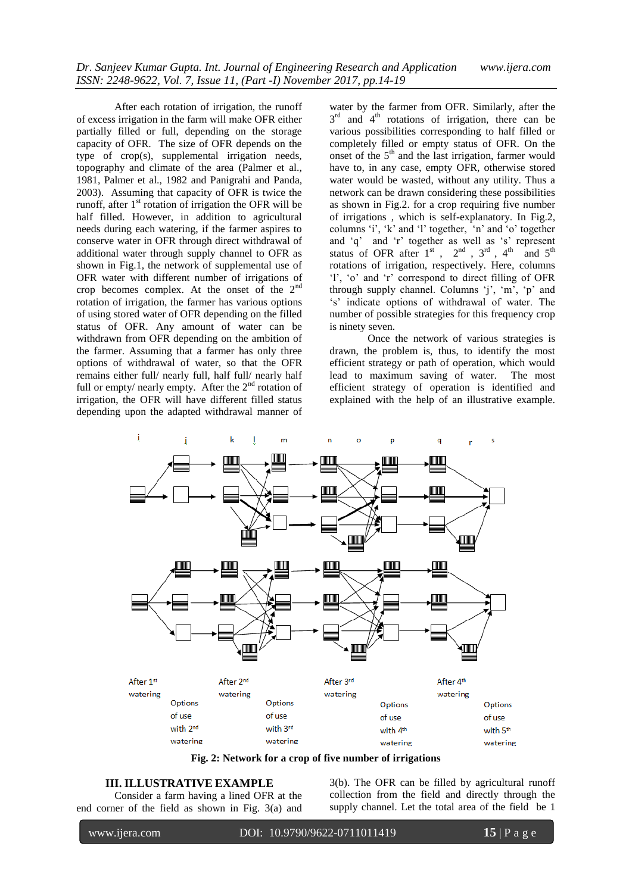After each rotation of irrigation, the runoff of excess irrigation in the farm will make OFR either partially filled or full, depending on the storage capacity of OFR. The size of OFR depends on the type of crop(s), supplemental irrigation needs, topography and climate of the area (Palmer et al., 1981, Palmer et al., 1982 and Panigrahi and Panda, 2003). Assuming that capacity of OFR is twice the runoff, after  $1<sup>st</sup>$  rotation of irrigation the OFR will be half filled. However, in addition to agricultural needs during each watering, if the farmer aspires to conserve water in OFR through direct withdrawal of additional water through supply channel to OFR as shown in Fig.1, the network of supplemental use of OFR water with different number of irrigations of crop becomes complex. At the onset of the 2nd rotation of irrigation, the farmer has various options of using stored water of OFR depending on the filled status of OFR. Any amount of water can be withdrawn from OFR depending on the ambition of the farmer. Assuming that a farmer has only three options of withdrawal of water, so that the OFR remains either full/ nearly full, half full/ nearly half full or empty/ nearly empty. After the  $2<sup>nd</sup>$  rotation of irrigation, the OFR will have different filled status depending upon the adapted withdrawal manner of

water by the farmer from OFR. Similarly, after the  $3<sup>rd</sup>$  and  $4<sup>th</sup>$  rotations of irrigation, there can be various possibilities corresponding to half filled or completely filled or empty status of OFR. On the onset of the  $5<sup>th</sup>$  and the last irrigation, farmer would have to, in any case, empty OFR, otherwise stored water would be wasted, without any utility. Thus a network can be drawn considering these possibilities as shown in Fig.2. for a crop requiring five number of irrigations , which is self-explanatory. In Fig.2, columns ‗i', ‗k' and ‗l' together, ‗n' and ‗o' together and 'q' and 'r' together as well as 's' represent status of OFR after  $1<sup>st</sup>$ ,  $2<sup>nd</sup>$ ,  $3<sup>rd</sup>$ ,  $4<sup>th</sup>$  and  $5<sup>th</sup>$ rotations of irrigation, respectively. Here, columns ‗l', ‗o' and ‗r' correspond to direct filling of OFR through supply channel. Columns 'j', 'm', 'p' and ‗s' indicate options of withdrawal of water. The number of possible strategies for this frequency crop is ninety seven.

Once the network of various strategies is drawn, the problem is, thus, to identify the most efficient strategy or path of operation, which would lead to maximum saving of water. The most efficient strategy of operation is identified and explained with the help of an illustrative example.



**Fig. 2: Network for a crop of five number of irrigations**

#### **III. ILLUSTRATIVE EXAMPLE**

Consider a farm having a lined OFR at the end corner of the field as shown in Fig. 3(a) and 3(b). The OFR can be filled by agricultural runoff collection from the field and directly through the supply channel. Let the total area of the field be 1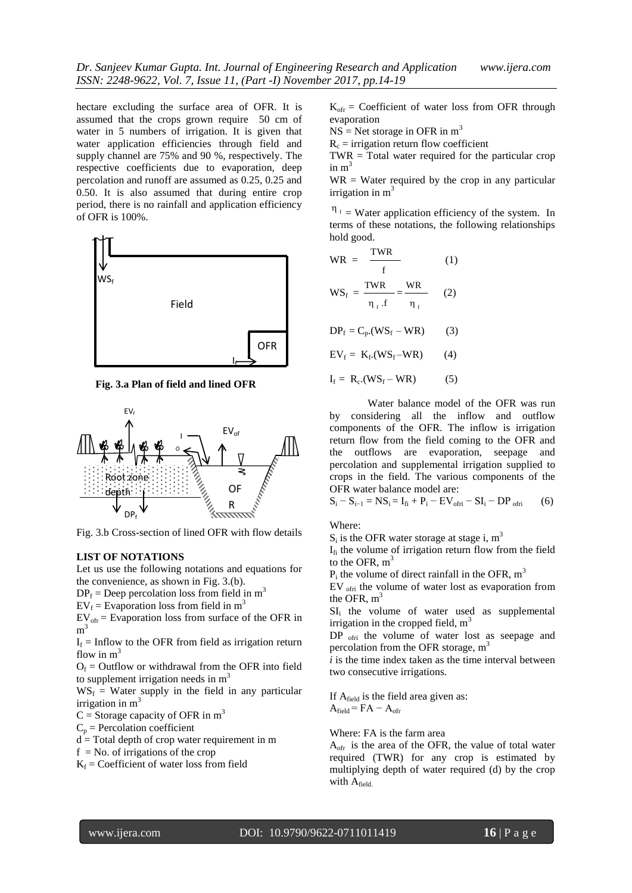hectare excluding the surface area of OFR. It is assumed that the crops grown require 50 cm of water in 5 numbers of irrigation. It is given that water application efficiencies through field and supply channel are 75% and 90 %, respectively. The respective coefficients due to evaporation, deep percolation and runoff are assumed as 0.25, 0.25 and 0.50. It is also assumed that during entire crop period, there is no rainfall and application efficiency of OFR is 100%.



**Fig. 3.a Plan of field and lined OFR**



Fig. 3.b Cross-section of lined OFR with flow details

#### **LIST OF NOTATIONS**

Let us use the following notations and equations for the convenience, as shown in Fig. 3.(b).

 $DP_f$  = Deep percolation loss from field in m<sup>3</sup>

 $EV_f = Evaporation loss from field in m<sup>3</sup>$ 

 $EV_{\text{off}}$  = Evaporation loss from surface of the OFR in  $m<sup>3</sup>$ 

 $I_f$  = Inflow to the OFR from field as irrigation return flow in  $m<sup>3</sup>$ 

 $O_f$  = Outflow or withdrawal from the OFR into field to supplement irrigation needs in  $m<sup>3</sup>$ 

 $WS_f$  = Water supply in the field in any particular irrigation in  $m<sup>3</sup>$ 

 $C =$  Storage capacity of OFR in m<sup>3</sup>

 $C_p$  = Percolation coefficient

 $d = Total depth of crop water requirement in m$ 

 $f = No$ . of irrigations of the crop

 $K_f$  = Coefficient of water loss from field

 $K_{\text{off}}$  = Coefficient of water loss from OFR through evaporation

 $NS = Net$  storage in OFR in m<sup>3</sup>

 $R_c$  = irrigation return flow coefficient

TWR = Total water required for the particular crop  $in m<sup>3</sup>$ 

 $WR = Water$  required by the crop in any particular irrigation in  $m<sup>3</sup>$ 

 $\eta_{\text{f}}$  = Water application efficiency of the system. In terms of these notations, the following relationships hold good.

$$
WR = \frac{TWR}{f}
$$
(1)  
\n
$$
WS_{f} = \frac{TWR}{\eta_{f}.f} = \frac{WR}{\eta_{f}}
$$
(2)  
\n
$$
DP_{f} = C_{p}.(WS_{f} - WR)
$$
(3)  
\n
$$
EV_{f} = K_{f}.(WS_{f} - WR)
$$
(4)  
\n
$$
I_{f} = R_{c}.(WS_{f} - WR)
$$
(5)

Water balance model of the OFR was run by considering all the inflow and outflow components of the OFR. The inflow is irrigation return flow from the field coming to the OFR and the outflows are evaporation, seepage and percolation and supplemental irrigation supplied to crops in the field. The various components of the OFR water balance model are:

$$
S_i - S_{i-1} = NS_i = I_{fi} + P_i - EV_{ofri} - SI_i - DP_{ofri}
$$
 (6)

Where:

 $S_i$  is the OFR water storage at stage i, m<sup>3</sup>

 $I_{fi}$  the volume of irrigation return flow from the field to the OFR,  $m<sup>3</sup>$ 

 $P_i$  the volume of direct rainfall in the OFR, m<sup>3</sup>

EV ofri the volume of water lost as evaporation from the OFR,  $m<sup>3</sup>$ 

SI<sub>i</sub> the volume of water used as supplemental irrigation in the cropped field,  $m<sup>3</sup>$ 

DP <sub>ofri</sub> the volume of water lost as seepage and percolation from the OFR storage,  $m<sup>3</sup>$ 

*i* is the time index taken as the time interval between two consecutive irrigations.

If A<sub>field</sub> is the field area given as:  $A_{field} = FA - A_{off}$ 

Where: FA is the farm area

Aofr is the area of the OFR, the value of total water required (TWR) for any crop is estimated by multiplying depth of water required (d) by the crop with Afield.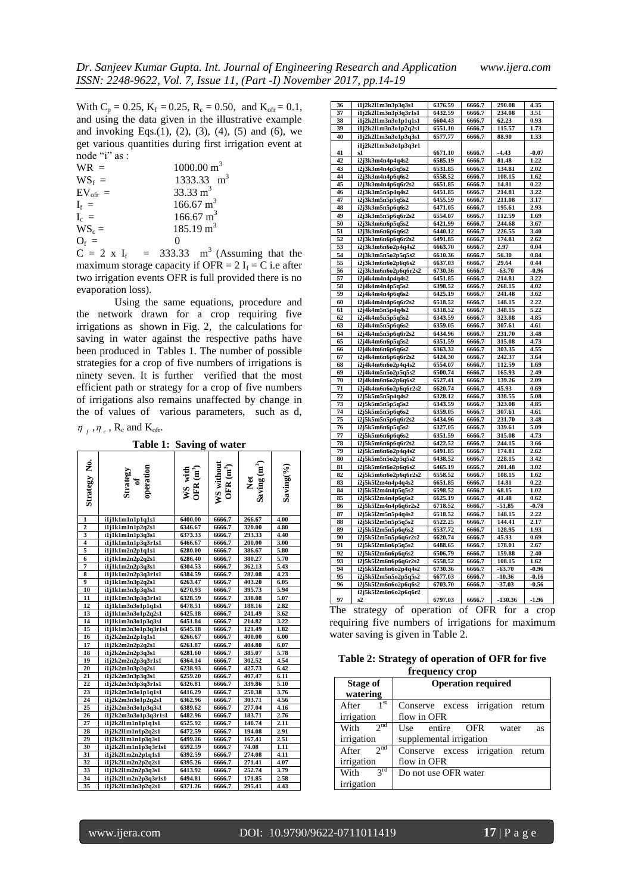*Dr. Sanjeev Kumar Gupta. Int. Journal of Engineering Research and Application www.ijera.com ISSN: 2248-9622, Vol. 7, Issue 11, (Part -I) November 2017, pp.14-19*

With  $C_p = 0.25$ ,  $K_f = 0.25$ ,  $R_c = 0.50$ , and  $K_{\text{off}} = 0.1$ , and using the data given in the illustrative example and invoking Eqs. $(1)$ ,  $(2)$ ,  $(3)$ ,  $(4)$ ,  $(5)$  and  $(6)$ , we get various quantities during first irrigation event at node "i" as :

| $WR =$           | $1000.00 \text{ m}^3$ |
|------------------|-----------------------|
| $WS_f =$         | 1333.33 $m^3$         |
| $EV_{\rm off}$ = | 33.33 $m3$            |
| $I_f =$          | $166.67 \text{ m}^3$  |
| $I_c =$          | $166.67 \text{ m}^3$  |
| $WS_c =$         | $185.19 \text{ m}^3$  |
| $O_f =$          | $\Omega$              |
|                  |                       |

 $C = 2 \times I_f = 333.33 \text{ m}^3$  (Assuming that the maximum storage capacity if OFR =  $2 I_f = C$  i.e after two irrigation events OFR is full provided there is no evaporation loss).

Using the same equations, procedure and the network drawn for a crop requiring five irrigations as shown in Fig. 2, the calculations for saving in water against the respective paths have been produced in Tables 1. The number of possible strategies for a crop of five numbers of irrigations is ninety seven. It is further verified that the most efficient path or strategy for a crop of five numbers of irrigations also remains unaffected by change in the of values of various parameters, such as d,

 $\eta$ <sub>f</sub>, $\eta$ <sub>c</sub>, R<sub>c</sub> and K<sub>ofr</sub>.

**Table 1: Saving of water**

| ż<br>Strategy           | operation<br>Strategy<br>J | WS with OFR $(m^3)$ | WS without<br>OFR(m <sup>3</sup> ) | Net<br>Saving (m <sup>3</sup> ) | Saving(%) |
|-------------------------|----------------------------|---------------------|------------------------------------|---------------------------------|-----------|
| 1                       | ilj1k1m1n1p1q1s1           | 6400.00             | 6666.7                             | 266.67                          | 4.00      |
| $\overline{2}$          | i1j1k1m1n1p2q2s1           | 6346.67             | 6666.7                             | 320.00                          | 4.80      |
| $\overline{\mathbf{3}}$ | ilj1k1m1n1p3q3s1           | 6373.33             | 6666.7                             | 293.33                          | 4.40      |
| 4                       | i1j1k1m1n1p3q3r1s1         | 6466.67             | 6666.7                             | 200.00                          | 3.00      |
| 5                       | i1j1k1m2n2p1q1s1           | 6280.00             | 6666.7                             | 386.67                          | 5.80      |
| $\overline{6}$          | i1j1k1m2n2p2q2s1           | 6286.40             | 6666.7                             | 380.27                          | 5.70      |
| 7                       | i1j1k1m2n2p3q3s1           | 6304.53             | 6666.7                             | 362.13                          | 5.43      |
| 8                       | i1j1k1m2n2p3q3r1s1         | 6384.59             | 6666.7                             | 282.08                          | 4.23      |
| 9                       | i1j1k1m3n3p2q2s1           | 6263.47             | 6666.7                             | 403.20                          | 6.05      |
| 10                      | i1j1k1m3n3p3q3s1           | 6270.93             | 6666.7                             | 395.73                          | 5.94      |
| 11                      | i1j1k1m3n3p3q3r1s1         | 6328.59             | 6666.7                             | 338.08                          | 5.07      |
| 12                      | ilj1k1m3n3o1p1q1s1         | 6478.51             | 6666.7                             | 188.16                          | 2.82      |
| 13                      | i1j1k1m3n3o1p2q2s1         | 6425.18             | 6666.7                             | 241.49                          | 3.62      |
| 14                      | i1j1k1m3n3o1p3q3s1         | 6451.84             | 6666.7                             | 214.82                          | 3.22      |
| 15                      | i1j1k1m3n3o1p3q3r1s1       | 6545.18             | 6666.7                             | 121.49                          | 1.82      |
| 16                      | i1j2k2m2n2p1q1s1           | 6266.67             | 6666.7                             | 400.00                          | 6.00      |
| 17                      | i1j2k2m2n2p2q2s1           | 6261.87             | 6666.7                             | 404.80                          | 6.07      |
| 18                      | i1j2k2m2n2p3q3s1           | 6281.60             | 6666.7                             | 385.07                          | 5.78      |
| 19                      | i1j2k2m2n2p3q3r1s1         | 6364.14             | 6666.7                             | 302.52                          | 4.54      |
| 20                      | i1j2k2m3n3p2q2s1           | 6238.93             | 6666.7                             | 427.73                          | 6.42      |
| 21                      | i1j2k2m3n3p3q3s1           | 6259.20             | 6666.7                             | 407.47                          | 6.11      |
| 22                      | i1j2k2m3n3p3q3r1s1         | 6326.81             | 6666.7                             | 339.86                          | 5.10      |
| 23                      | i1j2k2m3n3o1p1q1s1         | 6416.29             | 6666.7                             | 250.38                          | 3.76      |
| 24                      | i1j2k2m3n3o1p2q2s1         | 6362.96             | 6666.7                             | 303.71                          | 4.56      |
| 25                      | i1j2k2m3n3o1p3q3s1         | 6389.62             | 6666.7                             | 277.04                          | 4.16      |
| 26                      | i1j2k2m3n3o1p3q3r1s1       | 6482.96             | 6666.7                             | 183.71                          | 2.76      |
| 27                      | i1j2k2l1m1n1p1q1s1         | 6525.92             | 6666.7                             | 140.74                          | 2.11      |
| 28                      | i1j2k2l1m1n1p2q2s1         | 6472.59             | 6666.7                             | 194.08                          | 2.91      |
| 29                      | i1j2k2l1m1n1p3q3s1         | 6499.26             | 6666.7                             | 167.41                          | 2.51      |
| 30                      | i1j2k2l1m1n1p3q3r1s1       | 6592.59             | 6666.7                             | 74.08                           | 1.11      |
| 31                      | i1j2k2l1m2n2p1q1s1         | 6392.59             | 6666.7                             | 274.08                          | 4.11      |
| 32                      | i1j2k2l1m2n2p2q2s1         | 6395.26             | 6666.7                             | 271.41                          | 4.07      |
| 33                      | i1j2k2l1m2n2p3q3s1         | 6413.92             | 6666.7                             | 252.74                          | 3.79      |
| 34                      | i1j2k2l1m2n2p3q3r1s1       | 6494.81             | 6666.7                             | 171.85                          | 2.58      |
| 35                      | i1j2k2l1m3n3p2q2s1         | 6371.26             | 6666.7                             | 295.41                          | 4.43      |

| 36 | i1j2k2l1m3n3p3q3s1         | 6376.59 | 6666.7 | 290.08        | 4.35    |
|----|----------------------------|---------|--------|---------------|---------|
| 37 | i1j2k2l1m3n3p3q3r1s1       | 6432.59 | 6666.7 | 234.08        | 3.51    |
| 38 | i1j2k2l1m3n3o1p1q1s1       | 6604.43 | 6666.7 | 62.23         | 0.93    |
| 39 | i1j2k2l1m3n3o1p2q2s1       | 6551.10 | 6666.7 | 115.57        | 1.73    |
| 40 | i1j2k2l1m3n3o1p3q3s1       | 6577.77 | 6666.7 | 88.90         | 1.33    |
|    | i1j2k2l1m3n3o1p3q3r1       |         |        |               |         |
| 41 | s1                         | 6671.10 | 6666.7 | -4.43         | $-0.07$ |
| 42 | i2j3k3m4n4p4q4s2           | 6585.19 | 6666.7 | 81.48         | 1.22    |
| 43 | i2j3k3m4n4p5q5s2           | 6531.85 | 6666.7 | 134.81        | 2.02    |
| 44 | i2j3k3m4n4p6q6s2           | 6558.52 | 6666.7 | 108.15        | 1.62    |
| 45 | i2j3k3m4n4p6q6r2s2         | 6651.85 | 6666.7 | 14.81         | 0.22    |
| 46 | i2j3k3m5n5p4q4s2           | 6451.85 | 6666.7 | 214.81        | 3.22    |
| 47 | i2j3k3m5n5p5q5s2           | 6455.59 | 6666.7 | 211.08        | 3.17    |
| 48 | i2j3k3m5n5p6q6s2           | 6471.05 | 6666.7 | 195.61        | 2.93    |
| 49 | i2j3k3m5n5p6q6r2s2         | 6554.07 | 6666.7 | 112.59        | 1.69    |
| 50 | i2j3k3m6n6p5q5s2           | 6421.99 | 6666.7 | 244.68        | 3.67    |
| 51 |                            | 6440.12 | 6666.7 | 226.55        | 3.40    |
| 52 | i2j3k3m6n6p6q6s2           | 6491.85 | 6666.7 | 174.81        | 2.62    |
| 53 | i2j3k3m6n6p6q6r2s2         | 6663.70 | 6666.7 | 2.97          | 0.04    |
| 54 | i2j3k3m6n6o2p4q4s2         |         |        |               |         |
|    | i2j3k3m5n5o2p5q5s2         | 6610.36 | 6666.7 | 56.30         | 0.84    |
| 55 | i2j3k3m6n6o2p6q6s2         | 6637.03 | 6666.7 | 29.64         | 0.44    |
| 56 | i2j3k3m6n6o2p6q6r2s2       | 6730.36 | 6666.7 | $-63.70$      | $-0.96$ |
| 57 | i2j4k4m4n4p4q4s2           | 6451.85 | 6666.7 | 214.81        | 3.22    |
| 58 | i2j4k4m4n4p5q5s2           | 6398.52 | 6666.7 | 268.15        | 4.02    |
| 59 | i2j4k4m4n4p6q6s2           | 6425.19 | 6666.7 | 241.48        | 3.62    |
| 60 | i2j4k4m4n4p6q6r2s2         | 6518.52 | 6666.7 | 148.15        | 2.22    |
| 61 | i2j4k4m5n5p4q4s2           | 6318.52 | 6666.7 | 348.15        | 5.22    |
| 62 | i2j4k4m5n5p5q5s2           | 6343.59 | 6666.7 | 323.08        | 4.85    |
| 63 | i2j4k4m5n5p6q6s2           | 6359.05 | 6666.7 | 307.61        | 4.61    |
| 64 | i2j4k4m5n5p6q6r2s2         | 6434.96 | 6666.7 | <b>231.70</b> | 3.48    |
| 65 | i2j4k4m6n6p5q5s2           | 6351.59 | 6666.7 | 315.08        | 4.73    |
| 66 | i2j4k4m6n6p6q6s2           | 6363.32 | 6666.7 | 303.35        | 4.55    |
| 67 | i2j4k4m6n6p6q6r2s2         | 6424.30 | 6666.7 | 242.37        | 3.64    |
| 68 | i2j4k4m6n6o2p4q4s2         | 6554.07 | 6666.7 | 112.59        | 1.69    |
| 69 | i2j4k4m5n5o2p5q5s2         | 6500.74 | 6666.7 | 165.93        | 2.49    |
| 70 | i2j4k4m6n6o2p6q6s2         | 6527.41 | 6666.7 | 139.26        | 2.09    |
| 71 | i2j4k4m6n6o2p6q6r2s2       | 6620.74 | 6666.7 | 45.93         | 0.69    |
| 72 | i2j5k5m5n5p4q4s2           | 6328.12 | 6666.7 | 338.55        | 5.08    |
| 73 | i2j5k5m5n5p5q5s2           | 6343.59 | 6666.7 | 323.08        | 4.85    |
| 74 | i2j5k5m5n5p6q6s2           | 6359.05 | 6666.7 | 307.61        | 4.61    |
| 75 | i2j5k5m5n5p6q6r2s2         | 6434.96 | 6666.7 | <b>231.70</b> | 3.48    |
| 76 | i2j5k5m6n6p5q5s2           | 6327.05 | 6666.7 | 339.61        | 5.09    |
| 77 | i2j5k5m6n6p6q6s2           | 6351.59 | 6666.7 | 315.08        | 4.73    |
| 78 | i2j5k5m6n6p6q6r2s2         | 6422.52 | 6666.7 | 244.15        | 3.66    |
| 79 | i2j5k5m6n6o2p4q4s2         | 6491.85 | 6666.7 | 174.81        | 2.62    |
| 80 | i2j5k5m5n5o2p5q5s2         | 6438.52 | 6666.7 | 228.15        | 3.42    |
| 81 | i2j5k5m6n6o2p6q6s2         | 6465.19 | 6666.7 | 201.48        | 3.02    |
| 82 | i2j5k5m6n6o2p6q6r2s2       | 6558.52 | 6666.7 | 108.15        | 1.62    |
| 83 | i2j5k5l2m4n4p4q4s2         | 6651.85 | 6666.7 | 14.81         | 0.22    |
| 84 |                            |         |        |               |         |
|    |                            |         |        |               |         |
|    | i2j5k5l2m4n4p5q5s2         | 6598.52 | 6666.7 | 68.15         | 1.02    |
| 85 | i2j5k5l2m4n4p6q6s2         | 6625.19 | 6666.7 | 41.48         | 0.62    |
| 86 | i2j5k5l2m4n4p6q6r2s2       | 6718.52 | 6666.7 | $-51.85$      | $-0.78$ |
| 87 | i2j5k5l2m5n5p4q4s2         | 6518.52 | 6666.7 | 148.15        | 2.22    |
| 88 | i2j5k5l2m5n5p5q5s2         | 6522.25 | 6666.7 | 144.41        | 2.17    |
| 89 | i2j5k5l2m5n5p6q6s2         | 6537.72 | 6666.7 | 128.95        | 1.93    |
| 90 | i2j5k5l2m5n5p6q6r2s2       | 6620.74 | 6666.7 | 45.93         | 0.69    |
| 91 | i2j5k5l2m6n6p5q5s2         | 6488.65 | 6666.7 | 178.01        | 2.67    |
| 92 | i2j5k5l2m6n6p6q6s2         | 6506.79 | 6666.7 | 159.88        | 2.40    |
| 93 | i2j5k5l2m6n6p6q6r2s2       | 6558.52 | 6666.7 | 108.15        | 1.62    |
| 94 | i2j5k5l2m6n6o2p4q4s2       | 6730.36 | 6666.7 | $-63.70$      | $-0.96$ |
| 95 | i2j5k5l2m5n5o2p5q5s2       | 6677.03 | 6666.7 | $-10.36$      | $-0.16$ |
| 96 | i2j5k5l2m6n6o2p6q6s2       | 6703.70 | 6666.7 | $-37.03$      | $-0.56$ |
| 97 | i2j5k5l2m6n6o2p6q6r2<br>s2 | 6797.03 | 6666.7 | -130.36       | $-1.96$ |

The strategy of operation of OFR for a crop requiring five numbers of irrigations for maximum water saving is given in Table 2.

| Table 2: Strategy of operation of OFR for five |
|------------------------------------------------|
| frequency crop                                 |

| n cyachcy crop           |                                      |  |
|--------------------------|--------------------------------------|--|
| Stage of                 | <b>Operation required</b>            |  |
| watering                 |                                      |  |
| 1 <sup>st</sup><br>After | Conserve excess irrigation return    |  |
| irrigation               | flow in OFR                          |  |
| 2 <sub>nd</sub><br>With  | Use entire OFR<br>water<br><b>as</b> |  |
| irrigation               | supplemental irrigation              |  |
| 2 <sup>nd</sup><br>After | Conserve excess irrigation return    |  |
| irrigation               | flow in OFR                          |  |
| 2rd<br>With              | Do not use OFR water                 |  |
| irrigation               |                                      |  |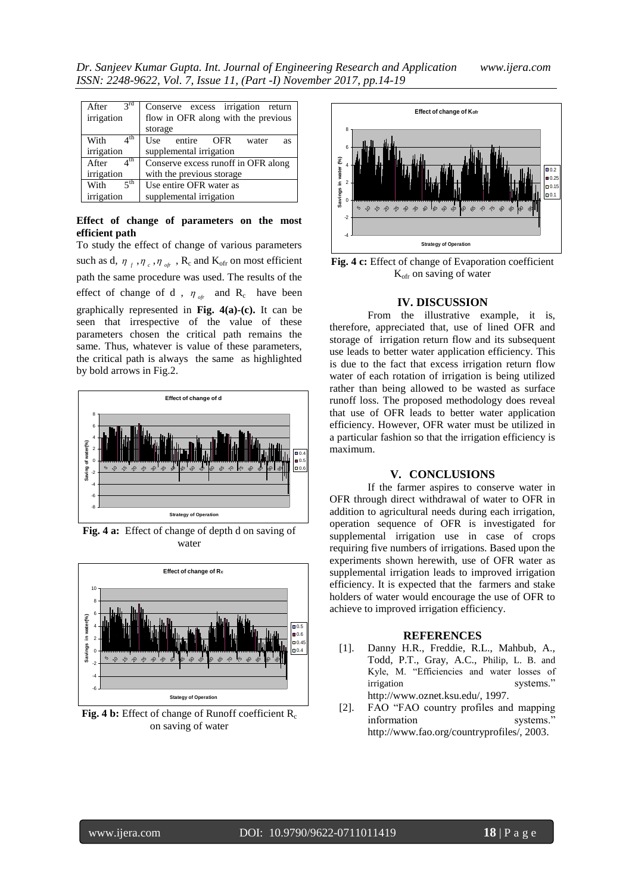*Dr. Sanjeev Kumar Gupta. Int. Journal of Engineering Research and Application www.ijera.com ISSN: 2248-9622, Vol. 7, Issue 11, (Part -I) November 2017, pp.14-19*

| 3 <sup>rd</sup><br>After | Conserve excess irrigation return   |
|--------------------------|-------------------------------------|
| irrigation               | flow in OFR along with the previous |
|                          | storage                             |
| 4 <sup>th</sup><br>With  | Use<br>entire<br>OFR<br>water<br>as |
| irrigation               | supplemental irrigation             |
| 4 <sup>th</sup><br>After | Conserve excess runoff in OFR along |
| irrigation               | with the previous storage           |
| 5 <sup>th</sup><br>With  | Use entire OFR water as             |
| irrigation               | supplemental irrigation             |

## **Effect of change of parameters on the most efficient path**

To study the effect of change of various parameters such as d,  $\eta_f$ ,  $\eta_c$ ,  $\eta_{\text{off}}$ ,  $R_c$  and  $K_{\text{off}}$  on most efficient path the same procedure was used. The results of the effect of change of d,  $\eta_{\text{off}}$  and  $R_c$  have been graphically represented in **Fig. 4(a)-(c).** It can be seen that irrespective of the value of these parameters chosen the critical path remains the same. Thus, whatever is value of these parameters, the critical path is always the same as highlighted by bold arrows in Fig.2.



**Fig. 4 a:** Effect of change of depth d on saving of water



Fig. 4 b: Effect of change of Runoff coefficient R<sub>c</sub> on saving of water



Fig. 4 c: Effect of change of Evaporation coefficient  $K_{\text{off}}$  on saving of water

## **IV. DISCUSSION**

From the illustrative example, it is, therefore, appreciated that, use of lined OFR and storage of irrigation return flow and its subsequent use leads to better water application efficiency. This is due to the fact that excess irrigation return flow water of each rotation of irrigation is being utilized rather than being allowed to be wasted as surface runoff loss. The proposed methodology does reveal that use of OFR leads to better water application efficiency. However, OFR water must be utilized in a particular fashion so that the irrigation efficiency is maximum.

## **V. CONCLUSIONS**

If the farmer aspires to conserve water in OFR through direct withdrawal of water to OFR in addition to agricultural needs during each irrigation, operation sequence of OFR is investigated for supplemental irrigation use in case of crops requiring five numbers of irrigations. Based upon the experiments shown herewith, use of OFR water as supplemental irrigation leads to improved irrigation efficiency. It is expected that the farmers and stake holders of water would encourage the use of OFR to achieve to improved irrigation efficiency.

## **REFERENCES**

- [1]. Danny H.R., Freddie, R.L., Mahbub, A., Todd, P.T., Gray, A.C., Philip, L. B. and Kyle, M. "Efficiencies and water losses of irrigation systems." http://www.oznet.ksu.edu/, 1997.
- [2]. FAO "FAO country profiles and mapping information systems. http://www.fao.org/countryprofiles/, 2003.